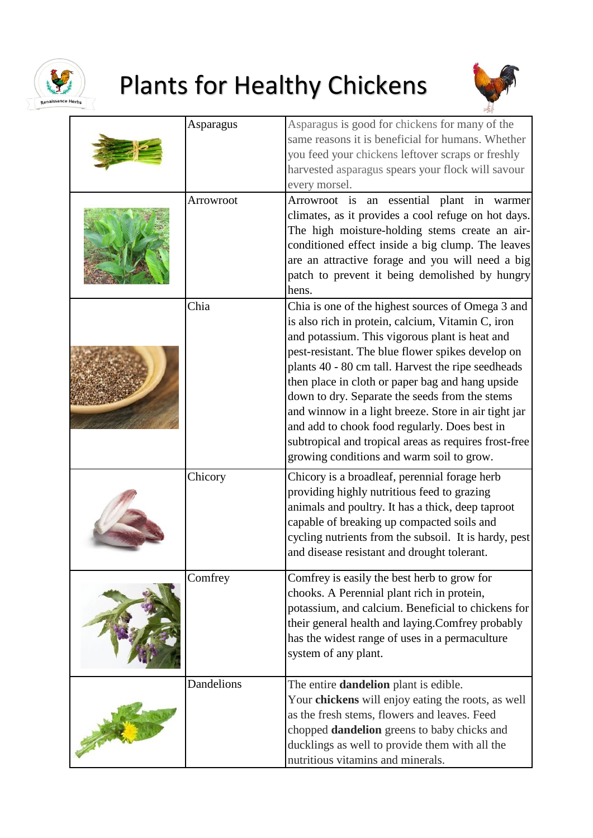

## Plants for Healthy Chickens



|            | Asparagus is good for chickens for many of the                                                                                                                                                                                                                                                                                                                                                                                                                                                                                                                                           |
|------------|------------------------------------------------------------------------------------------------------------------------------------------------------------------------------------------------------------------------------------------------------------------------------------------------------------------------------------------------------------------------------------------------------------------------------------------------------------------------------------------------------------------------------------------------------------------------------------------|
| Asparagus  | same reasons it is beneficial for humans. Whether<br>you feed your chickens leftover scraps or freshly<br>harvested asparagus spears your flock will savour<br>every morsel.                                                                                                                                                                                                                                                                                                                                                                                                             |
| Arrowroot  | Arrowroot is an essential plant in warmer<br>climates, as it provides a cool refuge on hot days.<br>The high moisture-holding stems create an air-<br>conditioned effect inside a big clump. The leaves<br>are an attractive forage and you will need a big<br>patch to prevent it being demolished by hungry<br>hens.                                                                                                                                                                                                                                                                   |
| Chia       | Chia is one of the highest sources of Omega 3 and<br>is also rich in protein, calcium, Vitamin C, iron<br>and potassium. This vigorous plant is heat and<br>pest-resistant. The blue flower spikes develop on<br>plants 40 - 80 cm tall. Harvest the ripe seedheads<br>then place in cloth or paper bag and hang upside<br>down to dry. Separate the seeds from the stems<br>and winnow in a light breeze. Store in air tight jar<br>and add to chook food regularly. Does best in<br>subtropical and tropical areas as requires frost-free<br>growing conditions and warm soil to grow. |
| Chicory    | Chicory is a broadleaf, perennial forage herb<br>providing highly nutritious feed to grazing<br>animals and poultry. It has a thick, deep taproot<br>capable of breaking up compacted soils and<br>cycling nutrients from the subsoil. It is hardy, pest<br>and disease resistant and drought tolerant.                                                                                                                                                                                                                                                                                  |
| Comfrey    | Comfrey is easily the best herb to grow for<br>chooks. A Perennial plant rich in protein,<br>potassium, and calcium. Beneficial to chickens for<br>their general health and laying.Comfrey probably<br>has the widest range of uses in a permaculture<br>system of any plant.                                                                                                                                                                                                                                                                                                            |
| Dandelions | The entire <b>dandelion</b> plant is edible.<br>Your chickens will enjoy eating the roots, as well<br>as the fresh stems, flowers and leaves. Feed<br>chopped <b>dandelion</b> greens to baby chicks and<br>ducklings as well to provide them with all the<br>nutritious vitamins and minerals.                                                                                                                                                                                                                                                                                          |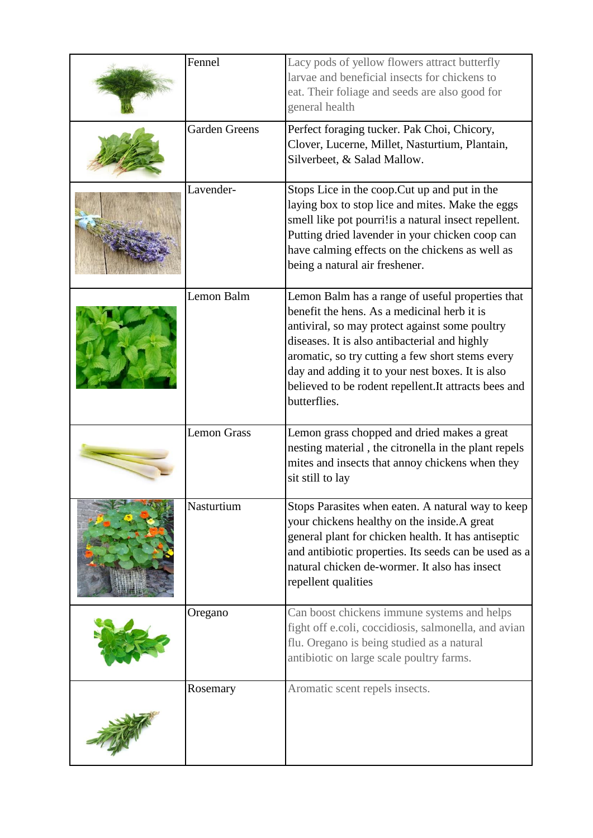| Fennel               | Lacy pods of yellow flowers attract butterfly<br>larvae and beneficial insects for chickens to<br>eat. Their foliage and seeds are also good for<br>general health                                                                                                                                                                                                                  |
|----------------------|-------------------------------------------------------------------------------------------------------------------------------------------------------------------------------------------------------------------------------------------------------------------------------------------------------------------------------------------------------------------------------------|
| <b>Garden Greens</b> | Perfect foraging tucker. Pak Choi, Chicory,<br>Clover, Lucerne, Millet, Nasturtium, Plantain,<br>Silverbeet, & Salad Mallow.                                                                                                                                                                                                                                                        |
| Lavender-            | Stops Lice in the coop. Cut up and put in the<br>laying box to stop lice and mites. Make the eggs<br>smell like pot pourri!is a natural insect repellent.<br>Putting dried lavender in your chicken coop can<br>have calming effects on the chickens as well as<br>being a natural air freshener.                                                                                   |
| Lemon Balm           | Lemon Balm has a range of useful properties that<br>benefit the hens. As a medicinal herb it is<br>antiviral, so may protect against some poultry<br>diseases. It is also antibacterial and highly<br>aromatic, so try cutting a few short stems every<br>day and adding it to your nest boxes. It is also<br>believed to be rodent repellent. It attracts bees and<br>butterflies. |
| <b>Lemon Grass</b>   | Lemon grass chopped and dried makes a great<br>nesting material, the citronella in the plant repels<br>mites and insects that annoy chickens when they<br>sit still to lay                                                                                                                                                                                                          |
| Nasturtium           | Stops Parasites when eaten. A natural way to keep<br>your chickens healthy on the inside.A great<br>general plant for chicken health. It has antiseptic<br>and antibiotic properties. Its seeds can be used as a<br>natural chicken de-wormer. It also has insect<br>repellent qualities                                                                                            |
| Oregano              | Can boost chickens immune systems and helps<br>fight off e.coli, coccidiosis, salmonella, and avian<br>flu. Oregano is being studied as a natural<br>antibiotic on large scale poultry farms.                                                                                                                                                                                       |
| Rosemary             | Aromatic scent repels insects.                                                                                                                                                                                                                                                                                                                                                      |